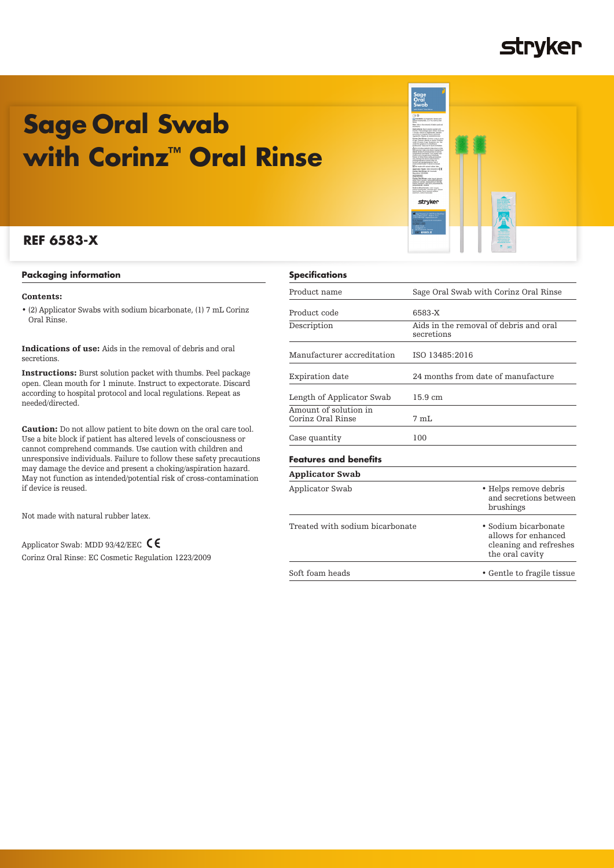### **stryker**

# **Sage Oral Swab with Corinz™ Oral Rinse**

### **REF 6583-X**

### **Packaging information**

### Contents:

• (2) Applicator Swabs with sodium bicarbonate, (1) 7 mL Corinz Oral Rinse.

Indications of use: Aids in the removal of debris and oral secretions.

Instructions: Burst solution packet with thumbs. Peel package open. Clean mouth for 1 minute. Instruct to expectorate. Discard according to hospital protocol and local regulations. Repeat as needed/directed.

Caution: Do not allow patient to bite down on the oral care tool. Use a bite block if patient has altered levels of consciousness or cannot comprehend commands. Use caution with children and unresponsive individuals. Failure to follow these safety precautions may damage the device and present a choking/aspiration hazard. May not function as intended/potential risk of cross-contamination if device is reused.

Not made with natural rubber latex.

Applicator Swab: MDD 93/42/EEC  $\mathsf{\mathsf{C}} \mathsf{\mathsf{C}}$ Corinz Oral Rinse: EC Cosmetic Regulation 1223/2009

| <b>Specifications</b>                      |                                                                                          |
|--------------------------------------------|------------------------------------------------------------------------------------------|
| Product name                               | Sage Oral Swab with Corinz Oral Rinse                                                    |
| Product code                               | 6583-X                                                                                   |
| Description                                | Aids in the removal of debris and oral<br>secretions                                     |
| Manufacturer accreditation                 | ISO 13485:2016                                                                           |
| Expiration date                            | 24 months from date of manufacture                                                       |
| Length of Applicator Swab                  | $15.9 \text{ cm}$                                                                        |
| Amount of solution in<br>Corinz Oral Rinse | $7 \text{ mL}$                                                                           |
| Case quantity                              | 100                                                                                      |
| <b>Features and benefits</b>               |                                                                                          |
| <b>Applicator Swab</b>                     |                                                                                          |
| Applicator Swab                            | • Helps remove debris<br>and secretions between<br>brushings                             |
| Treated with sodium bicarbonate            | • Sodium bicarbonate<br>allows for enhanced<br>cleaning and refreshes<br>the oral cavity |
| Soft foam heads                            | • Gentle to fragile tissue                                                               |

stryker